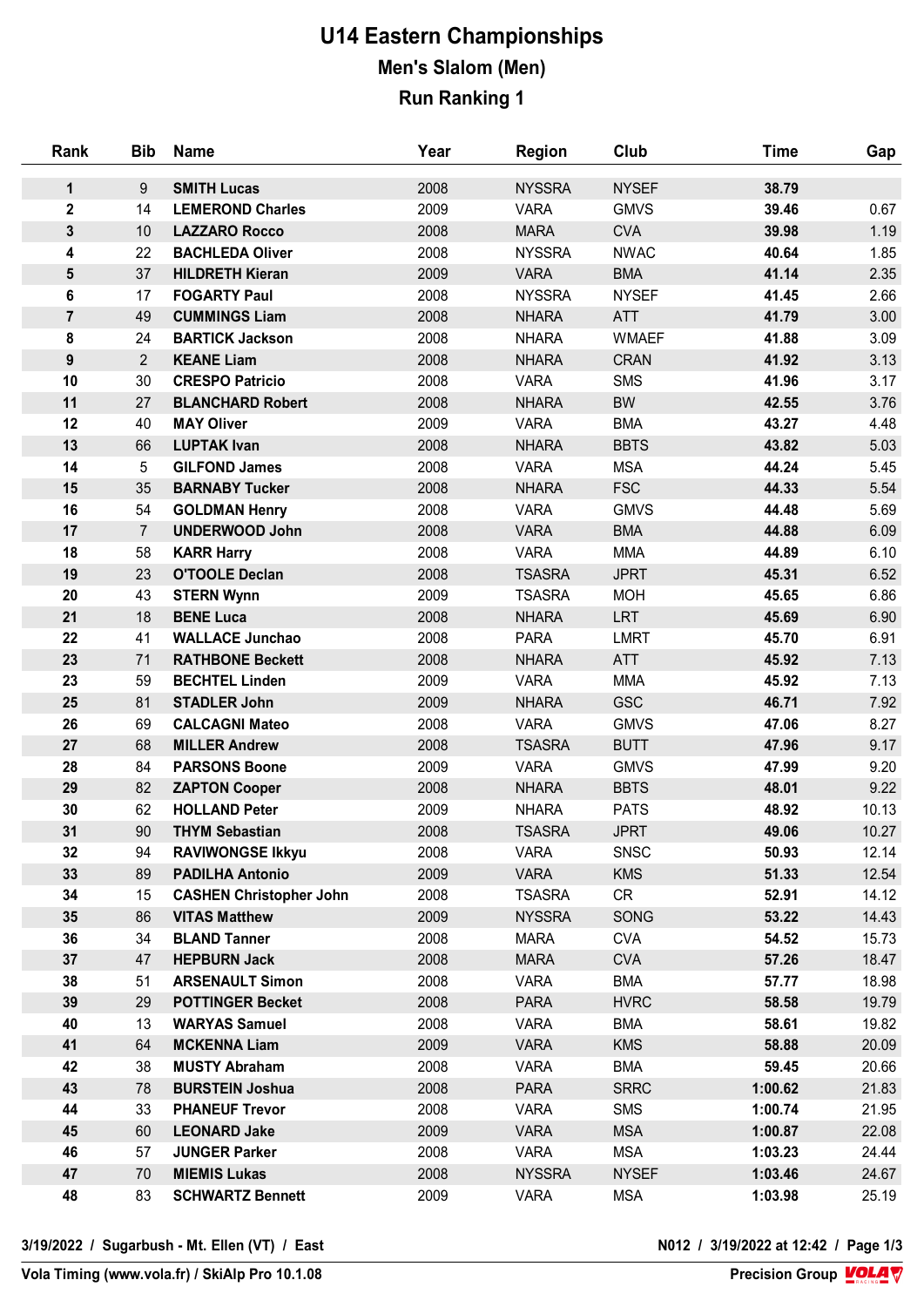## **U14 Eastern Championships Men's Slalom (Men) Run Ranking 1**

| Rank                    | <b>Bib</b>     | <b>Name</b>                    | Year | <b>Region</b> | Club         | <b>Time</b> | Gap   |
|-------------------------|----------------|--------------------------------|------|---------------|--------------|-------------|-------|
| 1                       | 9              | <b>SMITH Lucas</b>             | 2008 | <b>NYSSRA</b> | <b>NYSEF</b> | 38.79       |       |
| $\mathbf{2}$            | 14             | <b>LEMEROND Charles</b>        | 2009 | <b>VARA</b>   | <b>GMVS</b>  | 39.46       | 0.67  |
| 3                       | 10             | <b>LAZZARO Rocco</b>           | 2008 | <b>MARA</b>   | <b>CVA</b>   | 39.98       | 1.19  |
| 4                       | 22             | <b>BACHLEDA Oliver</b>         | 2008 | <b>NYSSRA</b> | <b>NWAC</b>  | 40.64       | 1.85  |
| $\overline{\mathbf{5}}$ | 37             | <b>HILDRETH Kieran</b>         | 2009 | <b>VARA</b>   | <b>BMA</b>   | 41.14       | 2.35  |
| 6                       | 17             | <b>FOGARTY Paul</b>            | 2008 | <b>NYSSRA</b> | <b>NYSEF</b> | 41.45       | 2.66  |
| $\overline{7}$          | 49             | <b>CUMMINGS Liam</b>           | 2008 | <b>NHARA</b>  | <b>ATT</b>   | 41.79       | 3.00  |
| 8                       | 24             | <b>BARTICK Jackson</b>         | 2008 | <b>NHARA</b>  | <b>WMAEF</b> | 41.88       | 3.09  |
| $\boldsymbol{9}$        | $\overline{2}$ | <b>KEANE Liam</b>              | 2008 | <b>NHARA</b>  | <b>CRAN</b>  | 41.92       | 3.13  |
| 10                      | 30             | <b>CRESPO Patricio</b>         | 2008 | <b>VARA</b>   | <b>SMS</b>   | 41.96       | 3.17  |
| 11                      | 27             | <b>BLANCHARD Robert</b>        | 2008 | <b>NHARA</b>  | BW           | 42.55       | 3.76  |
| 12                      | 40             | <b>MAY Oliver</b>              | 2009 | <b>VARA</b>   | <b>BMA</b>   | 43.27       | 4.48  |
| 13                      | 66             | <b>LUPTAK Ivan</b>             | 2008 | <b>NHARA</b>  | <b>BBTS</b>  | 43.82       | 5.03  |
| 14                      | 5              | <b>GILFOND James</b>           | 2008 | <b>VARA</b>   | <b>MSA</b>   | 44.24       | 5.45  |
| 15                      | 35             | <b>BARNABY Tucker</b>          | 2008 | <b>NHARA</b>  | <b>FSC</b>   | 44.33       | 5.54  |
| 16                      | 54             | <b>GOLDMAN Henry</b>           | 2008 | <b>VARA</b>   | <b>GMVS</b>  | 44.48       | 5.69  |
| 17                      | $\overline{7}$ | <b>UNDERWOOD John</b>          | 2008 | <b>VARA</b>   | <b>BMA</b>   | 44.88       | 6.09  |
| 18                      | 58             | <b>KARR Harry</b>              | 2008 | <b>VARA</b>   | <b>MMA</b>   | 44.89       | 6.10  |
| 19                      | 23             | <b>O'TOOLE Declan</b>          | 2008 | <b>TSASRA</b> | <b>JPRT</b>  | 45.31       | 6.52  |
| 20                      | 43             | <b>STERN Wynn</b>              | 2009 | <b>TSASRA</b> | <b>MOH</b>   | 45.65       | 6.86  |
| 21                      | 18             | <b>BENE Luca</b>               | 2008 | <b>NHARA</b>  | <b>LRT</b>   | 45.69       | 6.90  |
| 22                      | 41             | <b>WALLACE Junchao</b>         | 2008 | <b>PARA</b>   | <b>LMRT</b>  | 45.70       | 6.91  |
| 23                      | 71             | <b>RATHBONE Beckett</b>        | 2008 | <b>NHARA</b>  | <b>ATT</b>   | 45.92       | 7.13  |
| 23                      | 59             | <b>BECHTEL Linden</b>          | 2009 | <b>VARA</b>   | <b>MMA</b>   | 45.92       | 7.13  |
| 25                      | 81             | <b>STADLER John</b>            | 2009 | <b>NHARA</b>  | <b>GSC</b>   | 46.71       | 7.92  |
| 26                      | 69             | <b>CALCAGNI Mateo</b>          | 2008 | <b>VARA</b>   | <b>GMVS</b>  | 47.06       | 8.27  |
| 27                      | 68             | <b>MILLER Andrew</b>           | 2008 | <b>TSASRA</b> | <b>BUTT</b>  | 47.96       | 9.17  |
| 28                      | 84             | <b>PARSONS Boone</b>           | 2009 | <b>VARA</b>   | <b>GMVS</b>  | 47.99       | 9.20  |
| 29                      | 82             | <b>ZAPTON Cooper</b>           | 2008 | <b>NHARA</b>  | <b>BBTS</b>  | 48.01       | 9.22  |
| 30                      | 62             | <b>HOLLAND Peter</b>           | 2009 | <b>NHARA</b>  | <b>PATS</b>  | 48.92       | 10.13 |
| 31                      | 90             | <b>THYM Sebastian</b>          | 2008 | <b>TSASRA</b> | <b>JPRT</b>  | 49.06       | 10.27 |
| 32                      | 94             | <b>RAVIWONGSE Ikkyu</b>        | 2008 | <b>VARA</b>   | <b>SNSC</b>  | 50.93       | 12.14 |
| 33                      | 89             | <b>PADILHA Antonio</b>         | 2009 | <b>VARA</b>   | <b>KMS</b>   | 51.33       | 12.54 |
| 34                      | 15             | <b>CASHEN Christopher John</b> | 2008 | <b>TSASRA</b> | CR           | 52.91       | 14.12 |
| 35                      | 86             | <b>VITAS Matthew</b>           | 2009 | <b>NYSSRA</b> | SONG         | 53.22       | 14.43 |
| 36                      | 34             | <b>BLAND Tanner</b>            | 2008 | <b>MARA</b>   | <b>CVA</b>   | 54.52       | 15.73 |
| 37                      | 47             | <b>HEPBURN Jack</b>            | 2008 | <b>MARA</b>   | <b>CVA</b>   | 57.26       | 18.47 |
| 38                      | 51             | <b>ARSENAULT Simon</b>         | 2008 | <b>VARA</b>   | <b>BMA</b>   | 57.77       | 18.98 |
| 39                      | 29             | <b>POTTINGER Becket</b>        | 2008 | <b>PARA</b>   | <b>HVRC</b>  | 58.58       | 19.79 |
| 40                      | 13             | <b>WARYAS Samuel</b>           | 2008 | <b>VARA</b>   | <b>BMA</b>   | 58.61       | 19.82 |
| 41                      | 64             | <b>MCKENNA Liam</b>            | 2009 | <b>VARA</b>   | <b>KMS</b>   | 58.88       | 20.09 |
| 42                      | 38             | <b>MUSTY Abraham</b>           | 2008 | <b>VARA</b>   | <b>BMA</b>   | 59.45       | 20.66 |
| 43                      | 78             | <b>BURSTEIN Joshua</b>         | 2008 | <b>PARA</b>   | <b>SRRC</b>  | 1:00.62     | 21.83 |
| 44                      | 33             | <b>PHANEUF Trevor</b>          | 2008 | <b>VARA</b>   | <b>SMS</b>   | 1:00.74     | 21.95 |
| 45                      | 60             | <b>LEONARD Jake</b>            | 2009 | <b>VARA</b>   | <b>MSA</b>   | 1:00.87     | 22.08 |
| 46                      | 57             | <b>JUNGER Parker</b>           | 2008 | <b>VARA</b>   | <b>MSA</b>   | 1:03.23     | 24.44 |
| 47                      | 70             | <b>MIEMIS Lukas</b>            | 2008 | <b>NYSSRA</b> | <b>NYSEF</b> | 1:03.46     | 24.67 |
| 48                      | 83             | <b>SCHWARTZ Bennett</b>        | 2009 | <b>VARA</b>   | <b>MSA</b>   | 1:03.98     | 25.19 |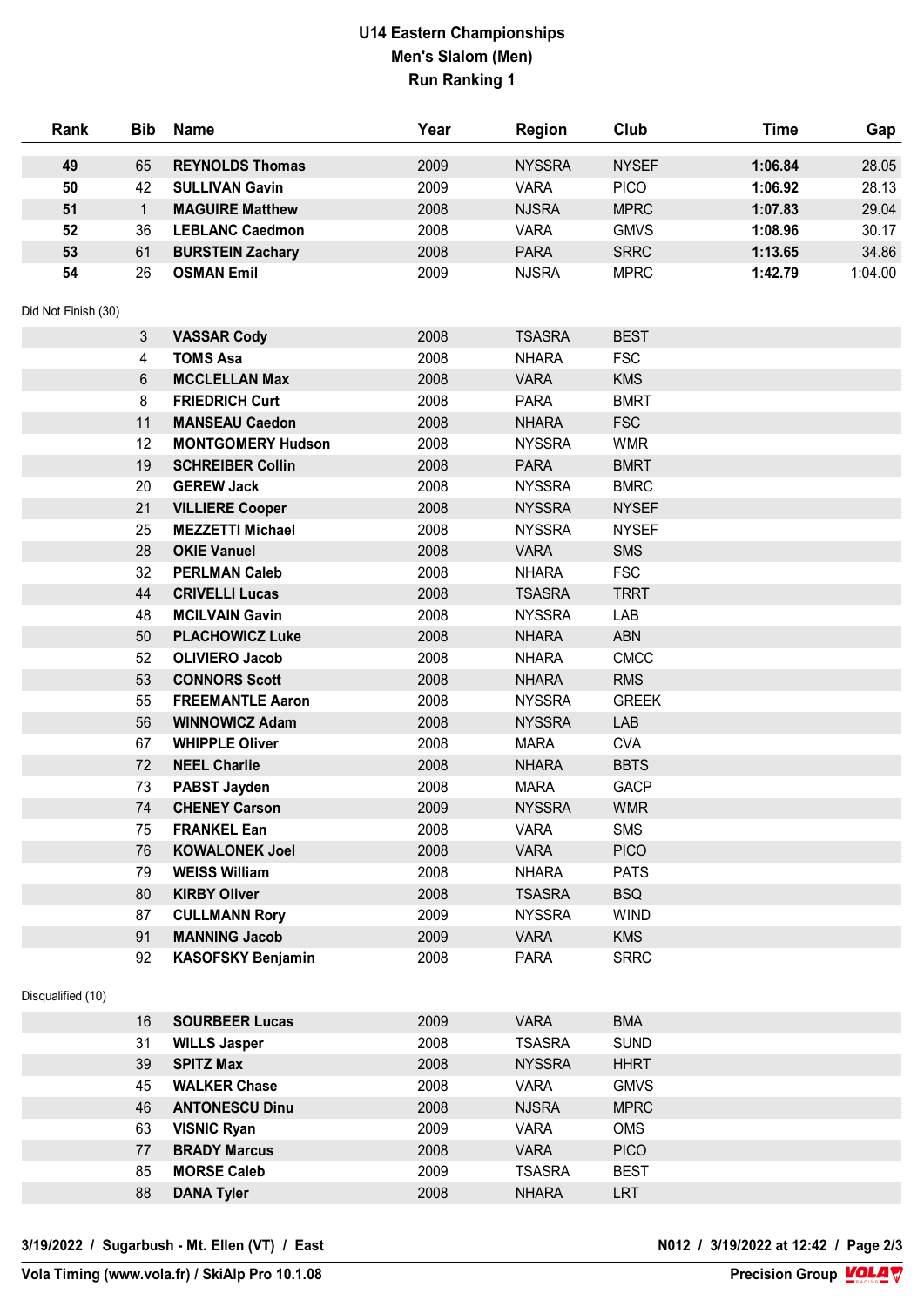## **U14 Eastern Championships Men's Slalom (Men) Run Ranking 1**

| Rank                | <b>Bib</b>   | <b>Name</b>              | Year | <b>Region</b> | Club         | <b>Time</b> | Gap     |
|---------------------|--------------|--------------------------|------|---------------|--------------|-------------|---------|
| 49                  | 65           | <b>REYNOLDS Thomas</b>   | 2009 | <b>NYSSRA</b> | <b>NYSEF</b> | 1:06.84     | 28.05   |
| 50                  | 42           | <b>SULLIVAN Gavin</b>    | 2009 | <b>VARA</b>   | <b>PICO</b>  | 1:06.92     | 28.13   |
| 51                  | $\mathbf{1}$ | <b>MAGUIRE Matthew</b>   | 2008 | <b>NJSRA</b>  | <b>MPRC</b>  | 1:07.83     | 29.04   |
| 52                  | 36           | <b>LEBLANC Caedmon</b>   | 2008 | <b>VARA</b>   | <b>GMVS</b>  | 1:08.96     | 30.17   |
| 53                  | 61           | <b>BURSTEIN Zachary</b>  | 2008 | <b>PARA</b>   | <b>SRRC</b>  | 1:13.65     | 34.86   |
| 54                  | 26           | <b>OSMAN Emil</b>        | 2009 | <b>NJSRA</b>  | <b>MPRC</b>  | 1:42.79     | 1:04.00 |
| Did Not Finish (30) |              |                          |      |               |              |             |         |
|                     | 3            | <b>VASSAR Cody</b>       | 2008 | <b>TSASRA</b> | <b>BEST</b>  |             |         |
|                     | 4            | <b>TOMS Asa</b>          | 2008 | <b>NHARA</b>  | <b>FSC</b>   |             |         |
|                     | 6            | <b>MCCLELLAN Max</b>     | 2008 | <b>VARA</b>   | <b>KMS</b>   |             |         |
|                     | 8            | <b>FRIEDRICH Curt</b>    | 2008 | <b>PARA</b>   | <b>BMRT</b>  |             |         |
|                     | 11           | <b>MANSEAU Caedon</b>    | 2008 | <b>NHARA</b>  | <b>FSC</b>   |             |         |
|                     | 12           | <b>MONTGOMERY Hudson</b> | 2008 | <b>NYSSRA</b> | <b>WMR</b>   |             |         |
|                     | 19           | <b>SCHREIBER Collin</b>  | 2008 | <b>PARA</b>   | <b>BMRT</b>  |             |         |
|                     | 20           | <b>GEREW Jack</b>        | 2008 | <b>NYSSRA</b> | <b>BMRC</b>  |             |         |
|                     | 21           | <b>VILLIERE Cooper</b>   | 2008 | <b>NYSSRA</b> | <b>NYSEF</b> |             |         |
|                     | 25           | <b>MEZZETTI Michael</b>  | 2008 | <b>NYSSRA</b> | <b>NYSEF</b> |             |         |
|                     | 28           | <b>OKIE Vanuel</b>       | 2008 | <b>VARA</b>   | <b>SMS</b>   |             |         |
|                     | 32           | <b>PERLMAN Caleb</b>     | 2008 | <b>NHARA</b>  | <b>FSC</b>   |             |         |
|                     | 44           | <b>CRIVELLI Lucas</b>    | 2008 | <b>TSASRA</b> | <b>TRRT</b>  |             |         |
|                     | 48           | <b>MCILVAIN Gavin</b>    | 2008 | <b>NYSSRA</b> | LAB          |             |         |
|                     | 50           | <b>PLACHOWICZ Luke</b>   | 2008 | <b>NHARA</b>  | ABN          |             |         |
|                     | 52           | <b>OLIVIERO Jacob</b>    | 2008 | <b>NHARA</b>  | <b>CMCC</b>  |             |         |
|                     | 53           | <b>CONNORS Scott</b>     | 2008 | <b>NHARA</b>  | <b>RMS</b>   |             |         |
|                     | 55           | <b>FREEMANTLE Aaron</b>  | 2008 | <b>NYSSRA</b> | <b>GREEK</b> |             |         |
|                     | 56           | <b>WINNOWICZ Adam</b>    | 2008 | <b>NYSSRA</b> | LAB          |             |         |
|                     | 67           | <b>WHIPPLE Oliver</b>    | 2008 | <b>MARA</b>   | <b>CVA</b>   |             |         |
|                     | 72           | <b>NEEL Charlie</b>      | 2008 | <b>NHARA</b>  | <b>BBTS</b>  |             |         |
|                     | 73           | PABST Jayden             | 2008 | <b>MARA</b>   | <b>GACP</b>  |             |         |
|                     | 74           | <b>CHENEY Carson</b>     | 2009 | <b>NYSSRA</b> | <b>WMR</b>   |             |         |
|                     | 75           | <b>FRANKEL Ean</b>       | 2008 | <b>VARA</b>   | <b>SMS</b>   |             |         |
|                     | 76           | <b>KOWALONEK Joel</b>    | 2008 | <b>VARA</b>   | <b>PICO</b>  |             |         |
|                     | 79           | <b>WEISS William</b>     | 2008 | <b>NHARA</b>  | <b>PATS</b>  |             |         |
|                     | 80           | <b>KIRBY Oliver</b>      | 2008 | <b>TSASRA</b> | <b>BSQ</b>   |             |         |
|                     | 87           | <b>CULLMANN Rory</b>     | 2009 | <b>NYSSRA</b> | <b>WIND</b>  |             |         |
|                     | 91           | <b>MANNING Jacob</b>     | 2009 | <b>VARA</b>   | <b>KMS</b>   |             |         |
|                     | 92           | <b>KASOFSKY Benjamin</b> | 2008 | <b>PARA</b>   | <b>SRRC</b>  |             |         |
| Disqualified (10)   |              |                          |      |               |              |             |         |
|                     | 16           | <b>SOURBEER Lucas</b>    | 2009 | <b>VARA</b>   | <b>BMA</b>   |             |         |
|                     | 31           | <b>WILLS Jasper</b>      | 2008 | <b>TSASRA</b> | <b>SUND</b>  |             |         |
|                     | 39           | <b>SPITZ Max</b>         | 2008 | <b>NYSSRA</b> | <b>HHRT</b>  |             |         |
|                     | 45           | <b>WALKER Chase</b>      | 2008 | <b>VARA</b>   | <b>GMVS</b>  |             |         |
|                     | 46           | <b>ANTONESCU Dinu</b>    | 2008 | <b>NJSRA</b>  | <b>MPRC</b>  |             |         |
|                     | 63           | <b>VISNIC Ryan</b>       | 2009 | <b>VARA</b>   | <b>OMS</b>   |             |         |
|                     | 77           | <b>BRADY Marcus</b>      | 2008 | <b>VARA</b>   | <b>PICO</b>  |             |         |
|                     | 85           | <b>MORSE Caleb</b>       | 2009 | <b>TSASRA</b> | <b>BEST</b>  |             |         |
|                     | 88           | <b>DANA Tyler</b>        | 2008 | <b>NHARA</b>  | <b>LRT</b>   |             |         |

**3/19/2022 / Sugarbush - Mt. Ellen (VT) / East N012 / 3/19/2022 at 12:42 / Page 2/3**